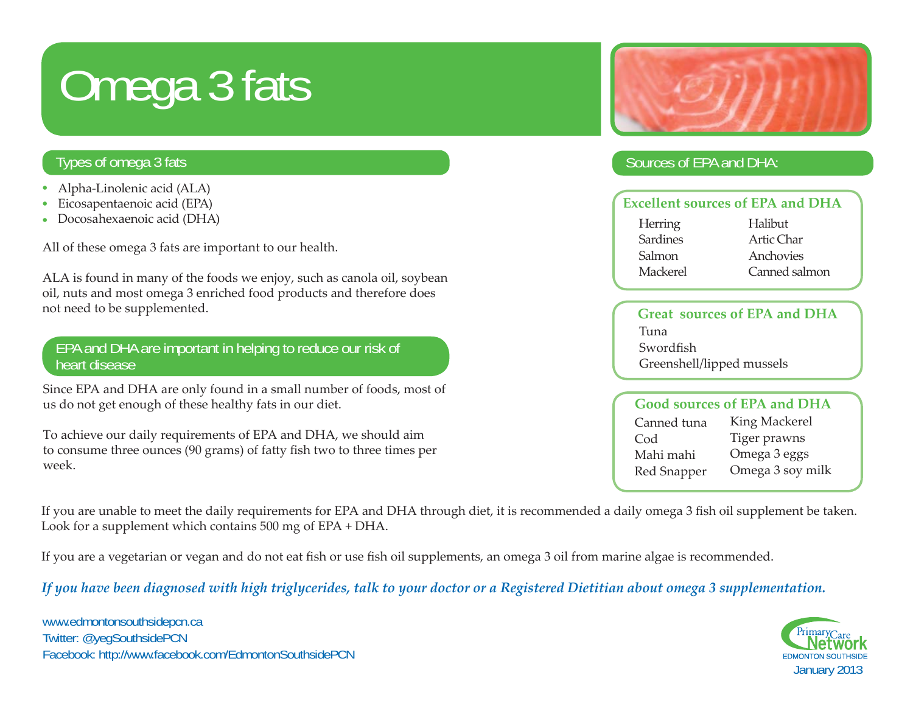# Omega 3 fats

### Types of omega 3 fats

- Alpha-Linolenic acid (ALA) •
- Eicosapentaenoic acid (EPA) •
- Docosahexaenoic acid (DHA) •

All of these omega 3 fats are important to our health.

ALA is found in many of the foods we enjoy, such as canola oil, soybean oil, nuts and most omega 3 enriched food products and therefore does not need to be supplemented.

#### EPA and DHA are important in helping to reduce our risk of heart disease

Since EPA and DHA are only found in a small number of foods, most of us do not get enough of these healthy fats in our diet.

To achieve our daily requirements of EPA and DHA, we should aim to consume three ounces (90 grams) of fatty fish two to three times per week.



### Sources of EPA and DHA:

| <b>Excellent sources of EPA and DHA</b> |               |
|-----------------------------------------|---------------|
| Herring                                 | Halibut       |
| <b>Sardines</b>                         | Artic Char    |
| Salmon                                  | Anchovies     |
| Mackerel                                | Canned salmon |
|                                         |               |

#### **Great sources of EPA and DHA**Tuna**Swordfish** Greenshell/lipped mussels

| <b>Good sources of EPA and DHA</b> |                  |
|------------------------------------|------------------|
| Canned tuna                        | King Mackerel    |
| Cod                                | Tiger prawns     |
| Mahi mahi                          | Omega 3 eggs     |
| Red Snapper                        | Omega 3 soy milk |

If you are unable to meet the daily requirements for EPA and DHA through diet, it is recommended a daily omega 3 fish oil supplement be taken. Look for a supplement which contains 500 mg of EPA + DHA.

If you are a vegetarian or vegan and do not eat fish or use fish oil supplements, an omega 3 oil from marine algae is recommended.

*If you have been diagnosed with high triglycerides, talk to your doctor or a Registered Dietitian about omega 3 supplementation.* 

www.edmontonsouthsidepcn.ca Twitter: @yegSouthsidePCN Facebook: http://www.facebook.com/EdmontonSouthsidePCN